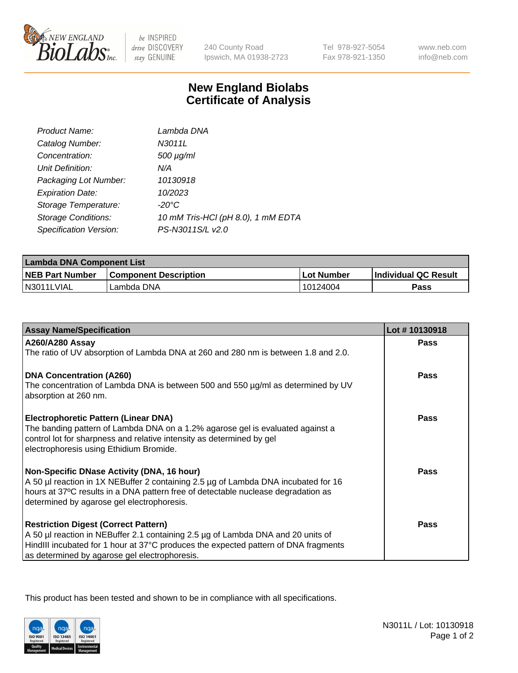

 $be$  INSPIRED drive DISCOVERY stay GENUINE

240 County Road Ipswich, MA 01938-2723 Tel 978-927-5054 Fax 978-921-1350 www.neb.com info@neb.com

## **New England Biolabs Certificate of Analysis**

| Product Name:              | Lambda DNA                         |
|----------------------------|------------------------------------|
| Catalog Number:            | N3011L                             |
| Concentration:             | $500 \mu g/ml$                     |
| Unit Definition:           | N/A                                |
| Packaging Lot Number:      | 10130918                           |
| <b>Expiration Date:</b>    | 10/2023                            |
| Storage Temperature:       | $-20^{\circ}$ C                    |
| <b>Storage Conditions:</b> | 10 mM Tris-HCl (pH 8.0), 1 mM EDTA |
| Specification Version:     | PS-N3011S/L v2.0                   |

| Lambda DNA Component List |                              |             |                             |  |
|---------------------------|------------------------------|-------------|-----------------------------|--|
| <b>NEB Part Number</b>    | <b>Component Description</b> | ⊺Lot Number | <b>Individual QC Result</b> |  |
| N3011LVIAL                | Lambda DNA                   | 10124004    | Pass                        |  |

| <b>Assay Name/Specification</b>                                                                                                                                                                                                                                         | Lot #10130918 |
|-------------------------------------------------------------------------------------------------------------------------------------------------------------------------------------------------------------------------------------------------------------------------|---------------|
| <b>A260/A280 Assay</b><br>The ratio of UV absorption of Lambda DNA at 260 and 280 nm is between 1.8 and 2.0.                                                                                                                                                            | <b>Pass</b>   |
| <b>DNA Concentration (A260)</b><br>The concentration of Lambda DNA is between 500 and 550 µg/ml as determined by UV<br>absorption at 260 nm.                                                                                                                            | <b>Pass</b>   |
| <b>Electrophoretic Pattern (Linear DNA)</b><br>The banding pattern of Lambda DNA on a 1.2% agarose gel is evaluated against a<br>control lot for sharpness and relative intensity as determined by gel<br>electrophoresis using Ethidium Bromide.                       | Pass          |
| Non-Specific DNase Activity (DNA, 16 hour)<br>A 50 µl reaction in 1X NEBuffer 2 containing 2.5 µg of Lambda DNA incubated for 16<br>hours at 37°C results in a DNA pattern free of detectable nuclease degradation as<br>determined by agarose gel electrophoresis.     | Pass          |
| <b>Restriction Digest (Correct Pattern)</b><br>A 50 µl reaction in NEBuffer 2.1 containing 2.5 µg of Lambda DNA and 20 units of<br>HindIII incubated for 1 hour at 37°C produces the expected pattern of DNA fragments<br>as determined by agarose gel electrophoresis. | Pass          |

This product has been tested and shown to be in compliance with all specifications.